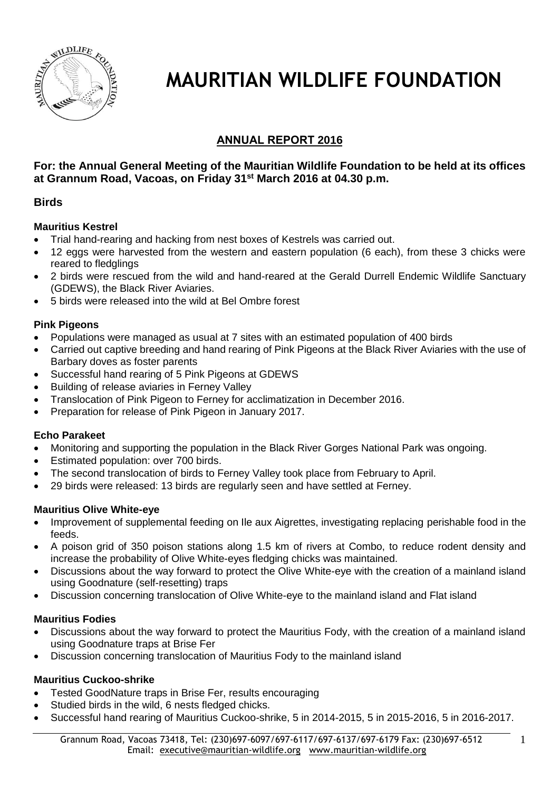

# **MAURITIAN WILDLIFE FOUNDATION**

# **ANNUAL REPORT 2016**

# **For: the Annual General Meeting of the Mauritian Wildlife Foundation to be held at its offices at Grannum Road, Vacoas, on Friday 31 st March 2016 at 04.30 p.m.**

### **Birds**

### **Mauritius Kestrel**

- Trial hand-rearing and hacking from nest boxes of Kestrels was carried out.
- 12 eggs were harvested from the western and eastern population (6 each), from these 3 chicks were reared to fledglings
- 2 birds were rescued from the wild and hand-reared at the Gerald Durrell Endemic Wildlife Sanctuary (GDEWS), the Black River Aviaries.
- 5 birds were released into the wild at Bel Ombre forest

# **Pink Pigeons**

- Populations were managed as usual at 7 sites with an estimated population of 400 birds
- Carried out captive breeding and hand rearing of Pink Pigeons at the Black River Aviaries with the use of Barbary doves as foster parents
- Successful hand rearing of 5 Pink Pigeons at GDEWS
- Building of release aviaries in Ferney Valley
- Translocation of Pink Pigeon to Ferney for acclimatization in December 2016.
- Preparation for release of Pink Pigeon in January 2017.

# **Echo Parakeet**

- Monitoring and supporting the population in the Black River Gorges National Park was ongoing.
- Estimated population: over 700 birds.
- The second translocation of birds to Ferney Valley took place from February to April.
- 29 birds were released: 13 birds are regularly seen and have settled at Ferney.

### **Mauritius Olive White-eye**

- Improvement of supplemental feeding on Ile aux Aigrettes, investigating replacing perishable food in the feeds.
- A poison grid of 350 poison stations along 1.5 km of rivers at Combo, to reduce rodent density and increase the probability of Olive White-eyes fledging chicks was maintained.
- Discussions about the way forward to protect the Olive White-eye with the creation of a mainland island using Goodnature (self-resetting) traps
- Discussion concerning translocation of Olive White-eye to the mainland island and Flat island

# **Mauritius Fodies**

- Discussions about the way forward to protect the Mauritius Fody, with the creation of a mainland island using Goodnature traps at Brise Fer
- Discussion concerning translocation of Mauritius Fody to the mainland island

# **Mauritius Cuckoo-shrike**

- Tested GoodNature traps in Brise Fer, results encouraging
- Studied birds in the wild, 6 nests fledged chicks.
- Successful hand rearing of Mauritius Cuckoo-shrike, 5 in 2014-2015, 5 in 2015-2016, 5 in 2016-2017.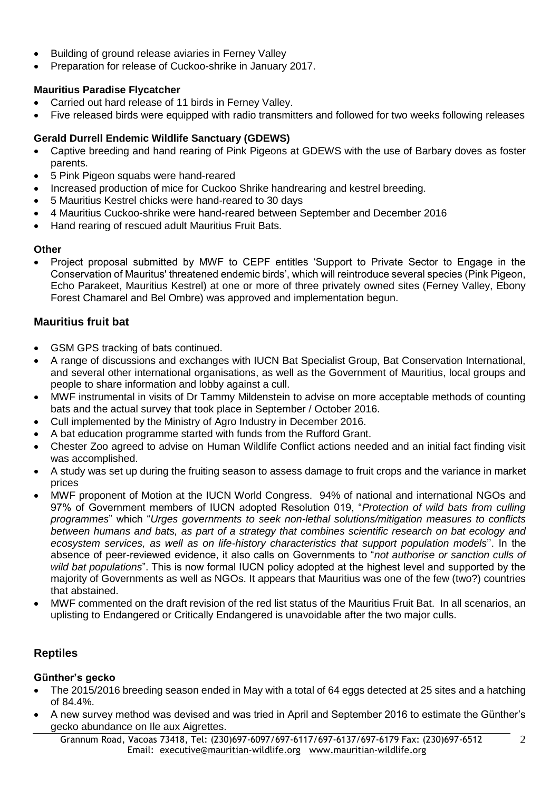- Building of ground release aviaries in Ferney Valley
- Preparation for release of Cuckoo-shrike in January 2017.

### **Mauritius Paradise Flycatcher**

- Carried out hard release of 11 birds in Ferney Valley.
- Five released birds were equipped with radio transmitters and followed for two weeks following releases

# **Gerald Durrell Endemic Wildlife Sanctuary (GDEWS)**

- Captive breeding and hand rearing of Pink Pigeons at GDEWS with the use of Barbary doves as foster parents.
- 5 Pink Pigeon squabs were hand-reared
- Increased production of mice for Cuckoo Shrike handrearing and kestrel breeding.
- 5 Mauritius Kestrel chicks were hand-reared to 30 days
- 4 Mauritius Cuckoo-shrike were hand-reared between September and December 2016
- Hand rearing of rescued adult Mauritius Fruit Bats.

### **Other**

 Project proposal submitted by MWF to CEPF entitles 'Support to Private Sector to Engage in the Conservation of Mauritus' threatened endemic birds', which will reintroduce several species (Pink Pigeon, Echo Parakeet, Mauritius Kestrel) at one or more of three privately owned sites (Ferney Valley, Ebony Forest Chamarel and Bel Ombre) was approved and implementation begun.

# **Mauritius fruit bat**

- GSM GPS tracking of bats continued.
- A range of discussions and exchanges with IUCN Bat Specialist Group, Bat Conservation International, and several other international organisations, as well as the Government of Mauritius, local groups and people to share information and lobby against a cull.
- MWF instrumental in visits of Dr Tammy Mildenstein to advise on more acceptable methods of counting bats and the actual survey that took place in September / October 2016.
- Cull implemented by the Ministry of Agro Industry in December 2016.
- A bat education programme started with funds from the Rufford Grant.
- Chester Zoo agreed to advise on Human Wildlife Conflict actions needed and an initial fact finding visit was accomplished.
- A study was set up during the fruiting season to assess damage to fruit crops and the variance in market prices
- MWF proponent of Motion at the IUCN World Congress. 94% of national and international NGOs and 97% of Government members of IUCN adopted Resolution 019, "*Protection of wild bats from culling programmes*" which "*Urges governments to seek non-lethal solutions/mitigation measures to conflicts between humans and bats, as part of a strategy that combines scientific research on bat ecology and ecosystem services, as well as on life-history characteristics that support population models*''. In the absence of peer-reviewed evidence, it also calls on Governments to "*not authorise or sanction culls of wild bat populations*". This is now formal IUCN policy adopted at the highest level and supported by the majority of Governments as well as NGOs. It appears that Mauritius was one of the few (two?) countries that abstained.
- MWF commented on the draft revision of the red list status of the Mauritius Fruit Bat. In all scenarios, an uplisting to Endangered or Critically Endangered is unavoidable after the two major culls.

# **Reptiles**

### **Günther's gecko**

- The 2015/2016 breeding season ended in May with a total of 64 eggs detected at 25 sites and a hatching of 84.4%.
- A new survey method was devised and was tried in April and September 2016 to estimate the Günther's gecko abundance on Ile aux Aigrettes.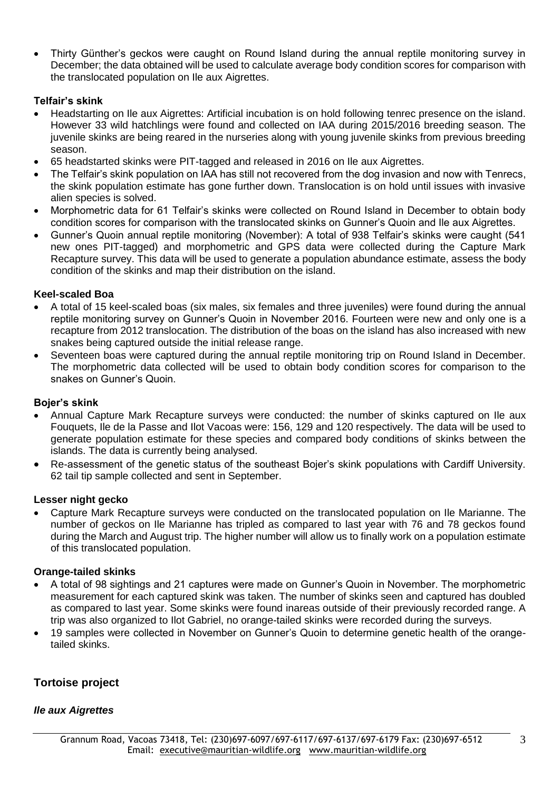Thirty Günther's geckos were caught on Round Island during the annual reptile monitoring survey in December; the data obtained will be used to calculate average body condition scores for comparison with the translocated population on Ile aux Aigrettes.

### **Telfair's skink**

- Headstarting on Ile aux Aigrettes: Artificial incubation is on hold following tenrec presence on the island. However 33 wild hatchlings were found and collected on IAA during 2015/2016 breeding season. The juvenile skinks are being reared in the nurseries along with young juvenile skinks from previous breeding season.
- 65 headstarted skinks were PIT-tagged and released in 2016 on Ile aux Aigrettes.
- The Telfair's skink population on IAA has still not recovered from the dog invasion and now with Tenrecs, the skink population estimate has gone further down. Translocation is on hold until issues with invasive alien species is solved.
- Morphometric data for 61 Telfair's skinks were collected on Round Island in December to obtain body condition scores for comparison with the translocated skinks on Gunner's Quoin and Ile aux Aigrettes.
- Gunner's Quoin annual reptile monitoring (November): A total of 938 Telfair's skinks were caught (541 new ones PIT-tagged) and morphometric and GPS data were collected during the Capture Mark Recapture survey. This data will be used to generate a population abundance estimate, assess the body condition of the skinks and map their distribution on the island.

### **Keel-scaled Boa**

- A total of 15 keel-scaled boas (six males, six females and three juveniles) were found during the annual reptile monitoring survey on Gunner's Quoin in November 2016. Fourteen were new and only one is a recapture from 2012 translocation. The distribution of the boas on the island has also increased with new snakes being captured outside the initial release range.
- Seventeen boas were captured during the annual reptile monitoring trip on Round Island in December. The morphometric data collected will be used to obtain body condition scores for comparison to the snakes on Gunner's Quoin.

### **Bojer's skink**

- Annual Capture Mark Recapture surveys were conducted: the number of skinks captured on Ile aux Fouquets, Ile de la Passe and Ilot Vacoas were: 156, 129 and 120 respectively. The data will be used to generate population estimate for these species and compared body conditions of skinks between the islands. The data is currently being analysed.
- Re-assessment of the genetic status of the southeast Bojer's skink populations with Cardiff University. 62 tail tip sample collected and sent in September.

#### **Lesser night gecko**

 Capture Mark Recapture surveys were conducted on the translocated population on Ile Marianne. The number of geckos on Ile Marianne has tripled as compared to last year with 76 and 78 geckos found during the March and August trip. The higher number will allow us to finally work on a population estimate of this translocated population.

#### **Orange-tailed skinks**

- A total of 98 sightings and 21 captures were made on Gunner's Quoin in November. The morphometric measurement for each captured skink was taken. The number of skinks seen and captured has doubled as compared to last year. Some skinks were found inareas outside of their previously recorded range. A trip was also organized to Ilot Gabriel, no orange-tailed skinks were recorded during the surveys.
- 19 samples were collected in November on Gunner's Quoin to determine genetic health of the orangetailed skinks.

# **Tortoise project**

### *Ile aux Aigrettes*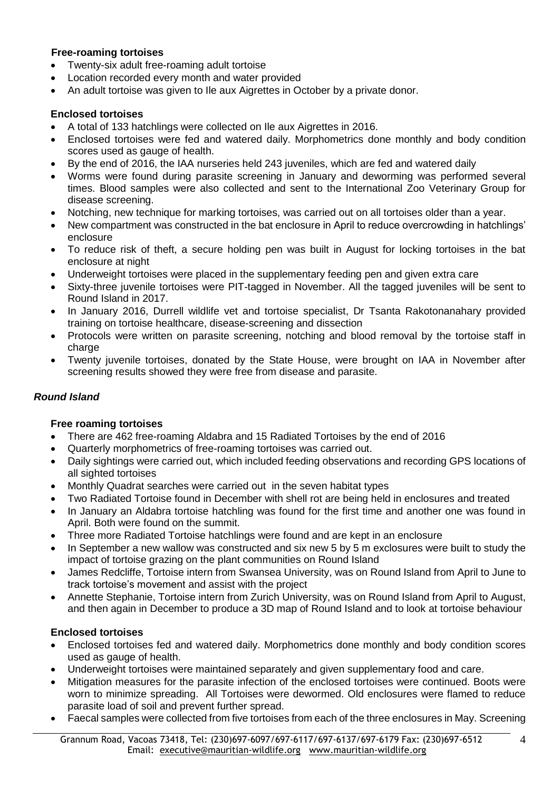### **Free-roaming tortoises**

- Twenty-six adult free-roaming adult tortoise
- Location recorded every month and water provided
- An adult tortoise was given to Ile aux Aigrettes in October by a private donor.

### **Enclosed tortoises**

- A total of 133 hatchlings were collected on Ile aux Aigrettes in 2016.
- Enclosed tortoises were fed and watered daily. Morphometrics done monthly and body condition scores used as gauge of health.
- By the end of 2016, the IAA nurseries held 243 juveniles, which are fed and watered daily
- Worms were found during parasite screening in January and deworming was performed several times. Blood samples were also collected and sent to the International Zoo Veterinary Group for disease screening.
- Notching, new technique for marking tortoises, was carried out on all tortoises older than a year.
- New compartment was constructed in the bat enclosure in April to reduce overcrowding in hatchlings' enclosure
- To reduce risk of theft, a secure holding pen was built in August for locking tortoises in the bat enclosure at night
- Underweight tortoises were placed in the supplementary feeding pen and given extra care
- Sixty-three juvenile tortoises were PIT-tagged in November. All the tagged juveniles will be sent to Round Island in 2017.
- In January 2016, Durrell wildlife vet and tortoise specialist, Dr Tsanta Rakotonanahary provided training on tortoise healthcare, disease-screening and dissection
- Protocols were written on parasite screening, notching and blood removal by the tortoise staff in charge
- Twenty juvenile tortoises, donated by the State House, were brought on IAA in November after screening results showed they were free from disease and parasite.

# *Round Island*

# **Free roaming tortoises**

- There are 462 free-roaming Aldabra and 15 Radiated Tortoises by the end of 2016
- Quarterly morphometrics of free-roaming tortoises was carried out.
- Daily sightings were carried out, which included feeding observations and recording GPS locations of all sighted tortoises
- Monthly Quadrat searches were carried out in the seven habitat types
- Two Radiated Tortoise found in December with shell rot are being held in enclosures and treated
- In January an Aldabra tortoise hatchling was found for the first time and another one was found in April. Both were found on the summit.
- Three more Radiated Tortoise hatchlings were found and are kept in an enclosure
- In September a new wallow was constructed and six new 5 by 5 m exclosures were built to study the impact of tortoise grazing on the plant communities on Round Island
- James Redcliffe, Tortoise intern from Swansea University, was on Round Island from April to June to track tortoise's movement and assist with the project
- Annette Stephanie, Tortoise intern from Zurich University, was on Round Island from April to August, and then again in December to produce a 3D map of Round Island and to look at tortoise behaviour

# **Enclosed tortoises**

- Enclosed tortoises fed and watered daily. Morphometrics done monthly and body condition scores used as gauge of health.
- Underweight tortoises were maintained separately and given supplementary food and care.
- Mitigation measures for the parasite infection of the enclosed tortoises were continued. Boots were worn to minimize spreading. All Tortoises were dewormed. Old enclosures were flamed to reduce parasite load of soil and prevent further spread.
- Faecal samples were collected from five tortoises from each of the three enclosures in May. Screening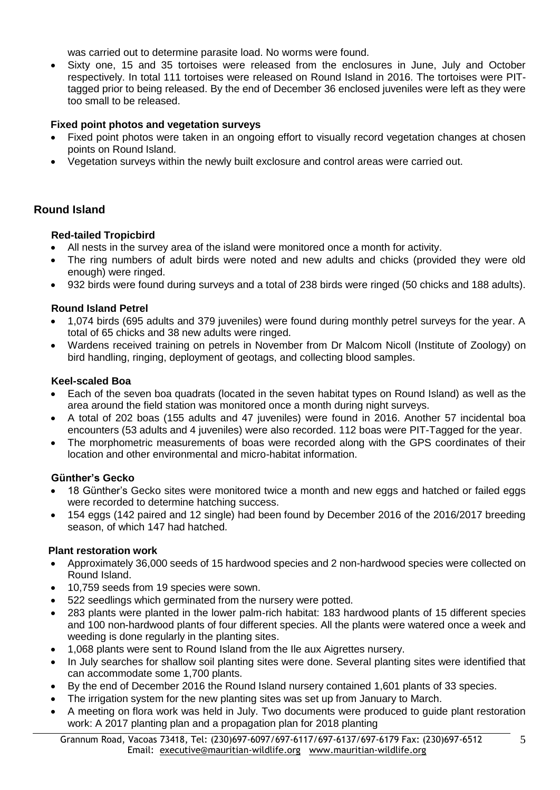was carried out to determine parasite load. No worms were found.

 Sixty one, 15 and 35 tortoises were released from the enclosures in June, July and October respectively. In total 111 tortoises were released on Round Island in 2016. The tortoises were PITtagged prior to being released. By the end of December 36 enclosed juveniles were left as they were too small to be released.

### **Fixed point photos and vegetation surveys**

- Fixed point photos were taken in an ongoing effort to visually record vegetation changes at chosen points on Round Island.
- Vegetation surveys within the newly built exclosure and control areas were carried out.

# **Round Island**

### **Red-tailed Tropicbird**

- All nests in the survey area of the island were monitored once a month for activity.
- The ring numbers of adult birds were noted and new adults and chicks (provided they were old enough) were ringed.
- 932 birds were found during surveys and a total of 238 birds were ringed (50 chicks and 188 adults).

### **Round Island Petrel**

- 1,074 birds (695 adults and 379 juveniles) were found during monthly petrel surveys for the year. A total of 65 chicks and 38 new adults were ringed.
- Wardens received training on petrels in November from Dr Malcom Nicoll (Institute of Zoology) on bird handling, ringing, deployment of geotags, and collecting blood samples.

### **Keel-scaled Boa**

- Each of the seven boa quadrats (located in the seven habitat types on Round Island) as well as the area around the field station was monitored once a month during night surveys.
- A total of 202 boas (155 adults and 47 juveniles) were found in 2016. Another 57 incidental boa encounters (53 adults and 4 juveniles) were also recorded. 112 boas were PIT-Tagged for the year.
- The morphometric measurements of boas were recorded along with the GPS coordinates of their location and other environmental and micro-habitat information.

### **Günther's Gecko**

- 18 Günther's Gecko sites were monitored twice a month and new eggs and hatched or failed eggs were recorded to determine hatching success.
- 154 eggs (142 paired and 12 single) had been found by December 2016 of the 2016/2017 breeding season, of which 147 had hatched.

### **Plant restoration work**

- Approximately 36,000 seeds of 15 hardwood species and 2 non-hardwood species were collected on Round Island.
- 10,759 seeds from 19 species were sown.
- 522 seedlings which germinated from the nursery were potted.
- 283 plants were planted in the lower palm-rich habitat: 183 hardwood plants of 15 different species and 100 non-hardwood plants of four different species. All the plants were watered once a week and weeding is done regularly in the planting sites.
- 1,068 plants were sent to Round Island from the Ile aux Aigrettes nursery.
- In July searches for shallow soil planting sites were done. Several planting sites were identified that can accommodate some 1,700 plants.
- By the end of December 2016 the Round Island nursery contained 1,601 plants of 33 species.
- The irrigation system for the new planting sites was set up from January to March.
- A meeting on flora work was held in July. Two documents were produced to guide plant restoration work: A 2017 planting plan and a propagation plan for 2018 planting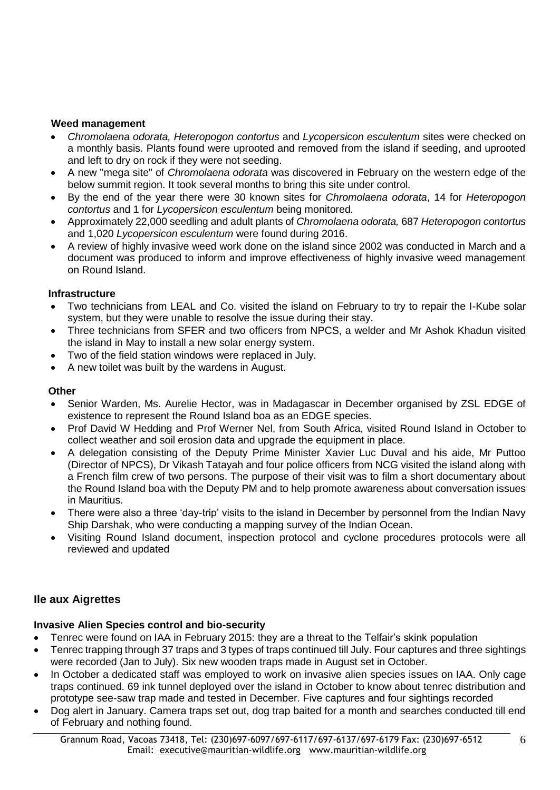### **Weed management**

- *Chromolaena odorata, Heteropogon contortus* and *Lycopersicon esculentum* sites were checked on a monthly basis. Plants found were uprooted and removed from the island if seeding, and uprooted and left to dry on rock if they were not seeding.
- A new "mega site" of *Chromolaena odorata* was discovered in February on the western edge of the below summit region. It took several months to bring this site under control.
- By the end of the year there were 30 known sites for *Chromolaena odorata*, 14 for *Heteropogon contortus* and 1 for *Lycopersicon esculentum* being monitored*.*
- Approximately 22,000 seedling and adult plants of *Chromolaena odorata,* 687 *Heteropogon contortus* and 1,020 *Lycopersicon esculentum* were found during 2016.
- A review of highly invasive weed work done on the island since 2002 was conducted in March and a document was produced to inform and improve effectiveness of highly invasive weed management on Round Island.

### **Infrastructure**

- Two technicians from LEAL and Co. visited the island on February to try to repair the I-Kube solar system, but they were unable to resolve the issue during their stay.
- Three technicians from SFER and two officers from NPCS, a welder and Mr Ashok Khadun visited the island in May to install a new solar energy system.
- Two of the field station windows were replaced in July.
- A new toilet was built by the wardens in August.

### **Other**

- Senior Warden, Ms. Aurelie Hector, was in Madagascar in December organised by ZSL EDGE of existence to represent the Round Island boa as an EDGE species.
- Prof David W Hedding and Prof Werner Nel, from South Africa, visited Round Island in October to collect weather and soil erosion data and upgrade the equipment in place.
- A delegation consisting of the Deputy Prime Minister Xavier Luc Duval and his aide, Mr Puttoo (Director of NPCS), Dr Vikash Tatayah and four police officers from NCG visited the island along with a French film crew of two persons. The purpose of their visit was to film a short documentary about the Round Island boa with the Deputy PM and to help promote awareness about conversation issues in Mauritius.
- There were also a three 'day-trip' visits to the island in December by personnel from the Indian Navy Ship Darshak, who were conducting a mapping survey of the Indian Ocean.
- Visiting Round Island document, inspection protocol and cyclone procedures protocols were all reviewed and updated

# **Ile aux Aigrettes**

### **Invasive Alien Species control and bio-security**

- Tenrec were found on IAA in February 2015: they are a threat to the Telfair's skink population
- Tenrec trapping through 37 traps and 3 types of traps continued till July. Four captures and three sightings were recorded (Jan to July). Six new wooden traps made in August set in October.
- In October a dedicated staff was employed to work on invasive alien species issues on IAA. Only cage traps continued. 69 ink tunnel deployed over the island in October to know about tenrec distribution and prototype see-saw trap made and tested in December. Five captures and four sightings recorded
- Dog alert in January. Camera traps set out, dog trap baited for a month and searches conducted till end of February and nothing found.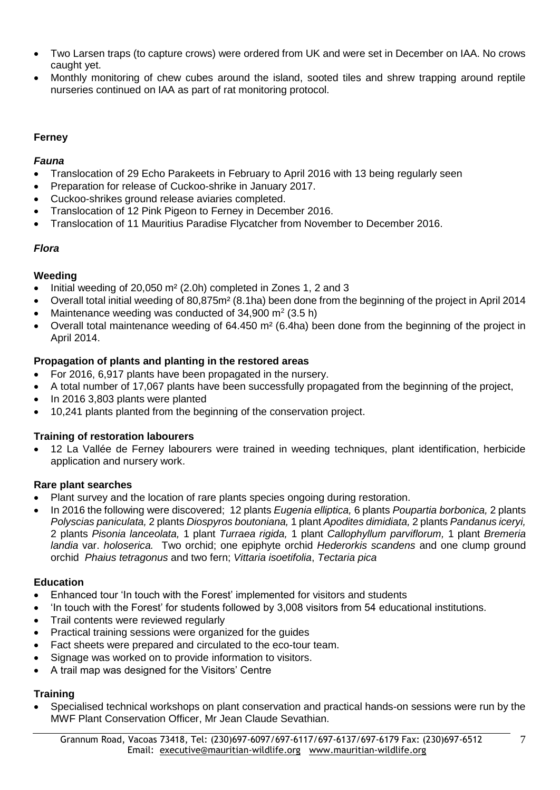- Two Larsen traps (to capture crows) were ordered from UK and were set in December on IAA. No crows caught yet.
- Monthly monitoring of chew cubes around the island, sooted tiles and shrew trapping around reptile nurseries continued on IAA as part of rat monitoring protocol.

# **Ferney**

# *Fauna*

- Translocation of 29 Echo Parakeets in February to April 2016 with 13 being regularly seen
- Preparation for release of Cuckoo-shrike in January 2017.
- Cuckoo-shrikes ground release aviaries completed.
- Translocation of 12 Pink Pigeon to Ferney in December 2016.
- Translocation of 11 Mauritius Paradise Flycatcher from November to December 2016.

# *Flora*

# **Weeding**

- Initial weeding of 20,050 m² (2.0h) completed in Zones 1, 2 and 3
- Overall total initial weeding of 80,875m² (8.1ha) been done from the beginning of the project in April 2014
- Maintenance weeding was conducted of  $34,900 \text{ m}^2 (3.5 \text{ h})$
- Overall total maintenance weeding of 64.450 m² (6.4ha) been done from the beginning of the project in April 2014.

# **Propagation of plants and planting in the restored areas**

- For 2016, 6,917 plants have been propagated in the nursery.
- A total number of 17,067 plants have been successfully propagated from the beginning of the project,
- In 2016 3,803 plants were planted
- 10,241 plants planted from the beginning of the conservation project.

# **Training of restoration labourers**

 12 La Vallée de Ferney labourers were trained in weeding techniques, plant identification, herbicide application and nursery work.

# **Rare plant searches**

- Plant survey and the location of rare plants species ongoing during restoration.
- In 2016 the following were discovered; 12 plants *Eugenia elliptica,* 6 plants *Poupartia borbonica,* 2 plants *Polyscias paniculata,* 2 plants *Diospyros boutoniana,* 1 plant *Apodites dimidiata,* 2 plants *Pandanus iceryi,*  2 plants *Pisonia lanceolata,* 1 plant *Turraea rigida,* 1 plant *Callophyllum parviflorum,* 1 plant *Bremeria landia* var. *holoserica.* Two orchid; one epiphyte orchid *Hederorkis scandens* and one clump ground orchid *Phaius tetragonus* and two fern; *Vittaria isoetifolia*, *Tectaria pica*

# **Education**

- Enhanced tour 'In touch with the Forest' implemented for visitors and students
- 'In touch with the Forest' for students followed by 3,008 visitors from 54 educational institutions.
- Trail contents were reviewed regularly
- Practical training sessions were organized for the guides
- Fact sheets were prepared and circulated to the eco-tour team.
- Signage was worked on to provide information to visitors.
- A trail map was designed for the Visitors' Centre

# **Training**

 Specialised technical workshops on plant conservation and practical hands-on sessions were run by the MWF Plant Conservation Officer, Mr Jean Claude Sevathian.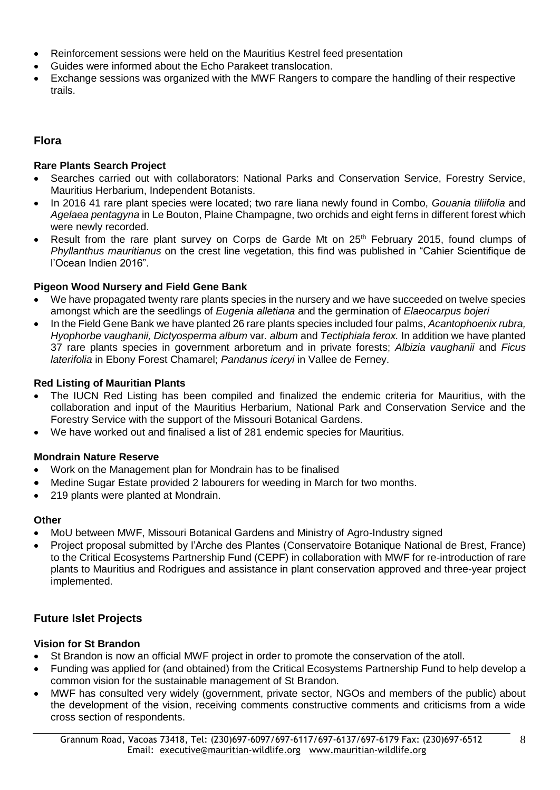- Reinforcement sessions were held on the Mauritius Kestrel feed presentation
- Guides were informed about the Echo Parakeet translocation.
- Exchange sessions was organized with the MWF Rangers to compare the handling of their respective trails.

# **Flora**

### **Rare Plants Search Project**

- Searches carried out with collaborators: National Parks and Conservation Service, Forestry Service, Mauritius Herbarium, Independent Botanists.
- In 2016 41 rare plant species were located; two rare liana newly found in Combo, *Gouania tiliifolia* and *Agelaea pentagyna* in Le Bouton, Plaine Champagne, two orchids and eight ferns in different forest which were newly recorded.
- Result from the rare plant survey on Corps de Garde Mt on 25<sup>th</sup> February 2015, found clumps of *Phyllanthus mauritianus* on the crest line vegetation, this find was published in "Cahier Scientifique de l'Ocean Indien 2016".

### **Pigeon Wood Nursery and Field Gene Bank**

- We have propagated twenty rare plants species in the nursery and we have succeeded on twelve species amongst which are the seedlings of *Eugenia alletiana* and the germination of *Elaeocarpus bojeri*
- In the Field Gene Bank we have planted 26 rare plants species included four palms, *Acantophoenix rubra, Hyophorbe vaughanii, Dictyosperma album* var*. album* and *Tectiphiala ferox.* In addition we have planted 37 rare plants species in government arboretum and in private forests; *Albizia vaughanii* and *Ficus laterifolia* in Ebony Forest Chamarel; *Pandanus iceryi* in Vallee de Ferney.

### **Red Listing of Mauritian Plants**

- The IUCN Red Listing has been compiled and finalized the endemic criteria for Mauritius, with the collaboration and input of the Mauritius Herbarium, National Park and Conservation Service and the Forestry Service with the support of the Missouri Botanical Gardens.
- We have worked out and finalised a list of 281 endemic species for Mauritius.

### **Mondrain Nature Reserve**

- Work on the Management plan for Mondrain has to be finalised
- Medine Sugar Estate provided 2 labourers for weeding in March for two months.
- 219 plants were planted at Mondrain.

# **Other**

- MoU between MWF, Missouri Botanical Gardens and Ministry of Agro-Industry signed
- Project proposal submitted by l'Arche des Plantes (Conservatoire Botanique National de Brest, France) to the Critical Ecosystems Partnership Fund (CEPF) in collaboration with MWF for re-introduction of rare plants to Mauritius and Rodrigues and assistance in plant conservation approved and three-year project implemented.

# **Future Islet Projects**

### **Vision for St Brandon**

- St Brandon is now an official MWF project in order to promote the conservation of the atoll.
- Funding was applied for (and obtained) from the Critical Ecosystems Partnership Fund to help develop a common vision for the sustainable management of St Brandon.
- MWF has consulted very widely (government, private sector, NGOs and members of the public) about the development of the vision, receiving comments constructive comments and criticisms from a wide cross section of respondents.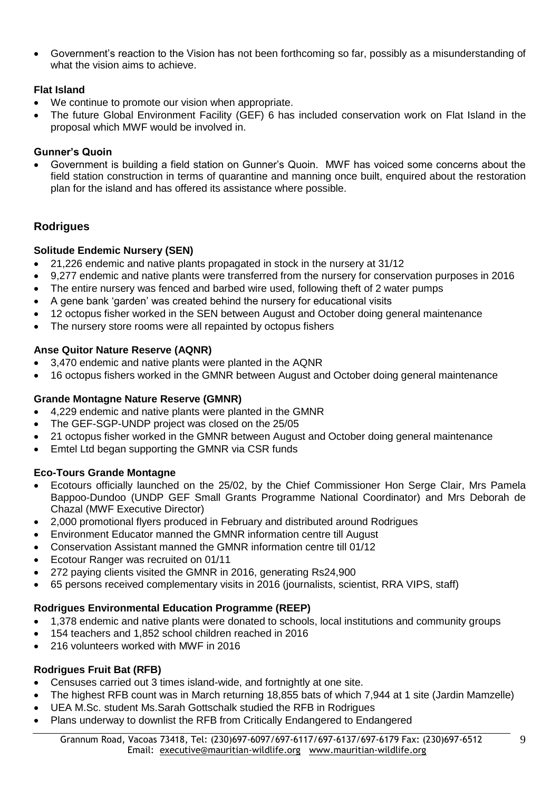Government's reaction to the Vision has not been forthcoming so far, possibly as a misunderstanding of what the vision aims to achieve.

### **Flat Island**

- We continue to promote our vision when appropriate.
- The future Global Environment Facility (GEF) 6 has included conservation work on Flat Island in the proposal which MWF would be involved in.

### **Gunner's Quoin**

 Government is building a field station on Gunner's Quoin. MWF has voiced some concerns about the field station construction in terms of quarantine and manning once built, enquired about the restoration plan for the island and has offered its assistance where possible.

# **Rodrigues**

### **Solitude Endemic Nursery (SEN)**

- 21,226 endemic and native plants propagated in stock in the nursery at 31/12
- 9,277 endemic and native plants were transferred from the nursery for conservation purposes in 2016
- The entire nursery was fenced and barbed wire used, following theft of 2 water pumps
- A gene bank 'garden' was created behind the nursery for educational visits
- 12 octopus fisher worked in the SEN between August and October doing general maintenance
- The nursery store rooms were all repainted by octopus fishers

### **Anse Quitor Nature Reserve (AQNR)**

- 3,470 endemic and native plants were planted in the AQNR
- 16 octopus fishers worked in the GMNR between August and October doing general maintenance

### **Grande Montagne Nature Reserve (GMNR)**

- 4,229 endemic and native plants were planted in the GMNR
- The GEF-SGP-UNDP project was closed on the 25/05
- 21 octopus fisher worked in the GMNR between August and October doing general maintenance
- Emtel Ltd began supporting the GMNR via CSR funds

# **Eco-Tours Grande Montagne**

- Ecotours officially launched on the 25/02, by the Chief Commissioner Hon Serge Clair, Mrs Pamela Bappoo-Dundoo (UNDP GEF Small Grants Programme National Coordinator) and Mrs Deborah de Chazal (MWF Executive Director)
- 2,000 promotional flyers produced in February and distributed around Rodrigues
- Environment Educator manned the GMNR information centre till August
- Conservation Assistant manned the GMNR information centre till 01/12
- Ecotour Ranger was recruited on 01/11
- 272 paying clients visited the GMNR in 2016, generating Rs24,900
- 65 persons received complementary visits in 2016 (journalists, scientist, RRA VIPS, staff)

# **Rodrigues Environmental Education Programme (REEP)**

- 1,378 endemic and native plants were donated to schools, local institutions and community groups
- 154 teachers and 1,852 school children reached in 2016
- 216 volunteers worked with MWF in 2016

# **Rodrigues Fruit Bat (RFB)**

- Censuses carried out 3 times island-wide, and fortnightly at one site.
- The highest RFB count was in March returning 18,855 bats of which 7,944 at 1 site (Jardin Mamzelle)
- UEA M.Sc. student Ms.Sarah Gottschalk studied the RFB in Rodrigues
- Plans underway to downlist the RFB from Critically Endangered to Endangered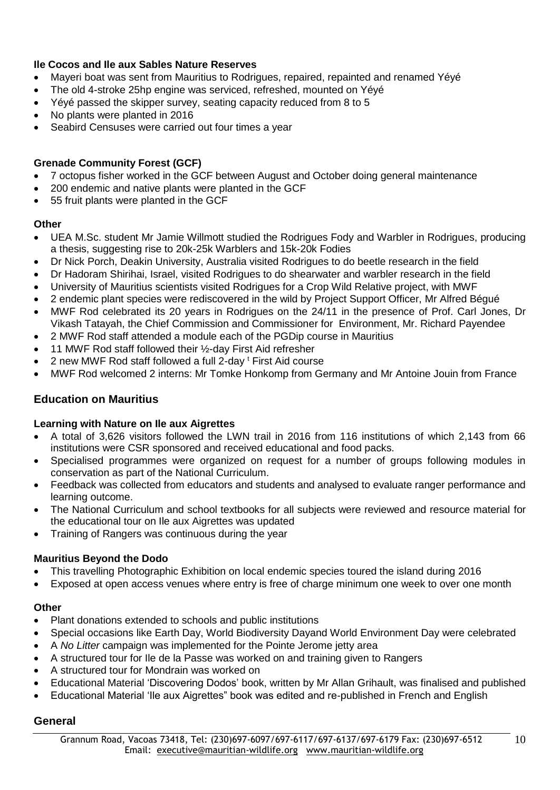# **Ile Cocos and Ile aux Sables Nature Reserves**

- Mayeri boat was sent from Mauritius to Rodrigues, repaired, repainted and renamed Yéyé
- The old 4-stroke 25hp engine was serviced, refreshed, mounted on Yéyé
- Yéyé passed the skipper survey, seating capacity reduced from 8 to 5
- No plants were planted in 2016
- Seabird Censuses were carried out four times a year

### **Grenade Community Forest (GCF)**

- 7 octopus fisher worked in the GCF between August and October doing general maintenance
- 200 endemic and native plants were planted in the GCF
- 55 fruit plants were planted in the GCF

### **Other**

- UEA M.Sc. student Mr Jamie Willmott studied the Rodrigues Fody and Warbler in Rodrigues, producing a thesis, suggesting rise to 20k-25k Warblers and 15k-20k Fodies
- Dr Nick Porch, Deakin University, Australia visited Rodrigues to do beetle research in the field
- Dr Hadoram Shirihai, Israel, visited Rodrigues to do shearwater and warbler research in the field
- University of Mauritius scientists visited Rodrigues for a Crop Wild Relative project, with MWF
- 2 endemic plant species were rediscovered in the wild by Project Support Officer, Mr Alfred Bégué
- MWF Rod celebrated its 20 years in Rodrigues on the 24/11 in the presence of Prof. Carl Jones, Dr Vikash Tatayah, the Chief Commission and Commissioner for Environment, Mr. Richard Payendee
- 2 MWF Rod staff attended a module each of the PGDip course in Mauritius
- 11 MWF Rod staff followed their ½-day First Aid refresher
- 2 new MWF Rod staff followed a full 2-day <sup>t</sup> First Aid course
- MWF Rod welcomed 2 interns: Mr Tomke Honkomp from Germany and Mr Antoine Jouin from France

# **Education on Mauritius**

### **Learning with Nature on Ile aux Aigrettes**

- A total of 3,626 visitors followed the LWN trail in 2016 from 116 institutions of which 2,143 from 66 institutions were CSR sponsored and received educational and food packs.
- Specialised programmes were organized on request for a number of groups following modules in conservation as part of the National Curriculum.
- Feedback was collected from educators and students and analysed to evaluate ranger performance and learning outcome.
- The National Curriculum and school textbooks for all subjects were reviewed and resource material for the educational tour on Ile aux Aigrettes was updated
- Training of Rangers was continuous during the year

### **Mauritius Beyond the Dodo**

- This travelling Photographic Exhibition on local endemic species toured the island during 2016
- Exposed at open access venues where entry is free of charge minimum one week to over one month

### **Other**

- Plant donations extended to schools and public institutions
- Special occasions like Earth Day, World Biodiversity Dayand World Environment Day were celebrated
- A *No Litter* campaign was implemented for the Pointe Jerome jetty area
- A structured tour for Ile de la Passe was worked on and training given to Rangers
- A structured tour for Mondrain was worked on
- Educational Material 'Discovering Dodos' book, written by Mr Allan Grihault, was finalised and published
- Educational Material 'Ile aux Aigrettes" book was edited and re-published in French and English

### **General**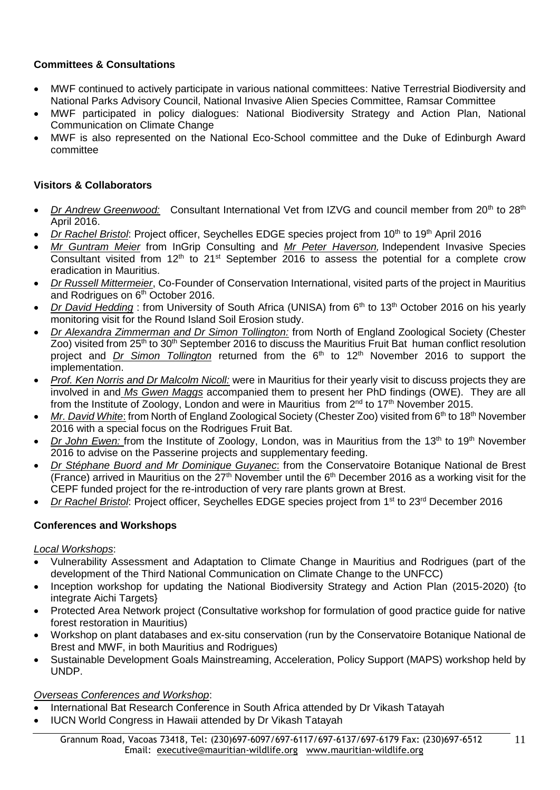# **Committees & Consultations**

- MWF continued to actively participate in various national committees: Native Terrestrial Biodiversity and National Parks Advisory Council, National Invasive Alien Species Committee, Ramsar Committee
- MWF participated in policy dialogues: National Biodiversity Strategy and Action Plan, National Communication on Climate Change
- MWF is also represented on the National Eco-School committee and the Duke of Edinburgh Award committee

### **Visitors & Collaborators**

- *Dr Andrew Greenwood:* Consultant International Vet from IZVG and council member from 20<sup>th</sup> to 28<sup>th</sup> April 2016.
- *Dr Rachel Bristol: Project officer, Seychelles EDGE species project from 10<sup>th</sup> to 19<sup>th</sup> April 2016*
- *Mr Guntram Meier* from InGrip Consulting and *Mr Peter Haverson,* Independent Invasive Species Consultant visited from  $12<sup>th</sup>$  to  $21<sup>st</sup>$  September 2016 to assess the potential for a complete crow eradication in Mauritius.
- *Dr Russell Mittermeier*, Co-Founder of Conservation International, visited parts of the project in Mauritius and Rodrigues on 6<sup>th</sup> October 2016.
- *Dr David Hedding* : from University of South Africa (UNISA) from 6<sup>th</sup> to 13<sup>th</sup> October 2016 on his yearly monitoring visit for the Round Island Soil Erosion study.
- *Dr Alexandra Zimmerman and Dr Simon Tollington:* from North of England Zoological Society (Chester Zoo) visited from 25<sup>th</sup> to 30<sup>th</sup> September 2016 to discuss the Mauritius Fruit Bat human conflict resolution project and *Dr* Simon Tollington returned from the 6<sup>th</sup> to 12<sup>th</sup> November 2016 to support the implementation.
- *Prof. Ken Norris and Dr Malcolm Nicoll:* were in Mauritius for their yearly visit to discuss projects they are involved in and *Ms Gwen Maggs* accompanied them to present her PhD findings (OWE). They are all from the Institute of Zoology, London and were in Mauritius from 2<sup>nd</sup> to 17<sup>th</sup> November 2015.
- *Mr. David White*: from North of England Zoological Society (Chester Zoo) visited from 6<sup>th</sup> to 18<sup>th</sup> November 2016 with a special focus on the Rodrigues Fruit Bat.
- *Dr John Ewen:* from the Institute of Zoology, London, was in Mauritius from the 13<sup>th</sup> to 19<sup>th</sup> November 2016 to advise on the Passerine projects and supplementary feeding.
- *Dr Stéphane Buord and Mr Dominique Guyanec*: from the Conservatoire Botanique National de Brest (France) arrived in Mauritius on the  $27<sup>th</sup>$  November until the  $6<sup>th</sup>$  December 2016 as a working visit for the CEPF funded project for the re-introduction of very rare plants grown at Brest.
- *Dr Rachel Bristol*: Project officer, Seychelles EDGE species project from 1st to 23rd December 2016

### **Conferences and Workshops**

#### *Local Workshops*:

- Vulnerability Assessment and Adaptation to Climate Change in Mauritius and Rodrigues (part of the development of the Third National Communication on Climate Change to the UNFCC)
- Inception workshop for updating the National Biodiversity Strategy and Action Plan (2015-2020) {to integrate Aichi Targets}
- Protected Area Network project (Consultative workshop for formulation of good practice guide for native forest restoration in Mauritius)
- Workshop on plant databases and ex-situ conservation (run by the Conservatoire Botanique National de Brest and MWF, in both Mauritius and Rodrigues)
- Sustainable Development Goals Mainstreaming, Acceleration, Policy Support (MAPS) workshop held by UNDP.

#### *Overseas Conferences and Workshop*:

- International Bat Research Conference in South Africa attended by Dr Vikash Tatayah
- IUCN World Congress in Hawaii attended by Dr Vikash Tatayah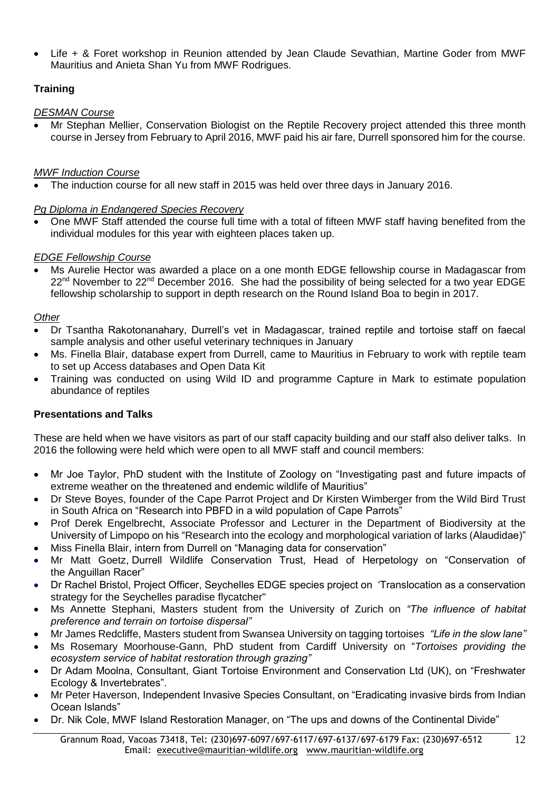Life + & Foret workshop in Reunion attended by Jean Claude Sevathian, Martine Goder from MWF Mauritius and Anieta Shan Yu from MWF Rodrigues.

# **Training**

# *DESMAN Course*

 Mr Stephan Mellier, Conservation Biologist on the Reptile Recovery project attended this three month course in Jersey from February to April 2016, MWF paid his air fare, Durrell sponsored him for the course.

# *MWF Induction Course*

The induction course for all new staff in 2015 was held over three days in January 2016.

# *Pg Diploma in Endangered Species Recovery*

 One MWF Staff attended the course full time with a total of fifteen MWF staff having benefited from the individual modules for this year with eighteen places taken up.

# *EDGE Fellowship Course*

 Ms Aurelie Hector was awarded a place on a one month EDGE fellowship course in Madagascar from 22<sup>nd</sup> November to 22<sup>nd</sup> December 2016. She had the possibility of being selected for a two year EDGE fellowship scholarship to support in depth research on the Round Island Boa to begin in 2017.

# *Other*

- Dr Tsantha Rakotonanahary, Durrell's vet in Madagascar, trained reptile and tortoise staff on faecal sample analysis and other useful veterinary techniques in January
- Ms. Finella Blair, database expert from Durrell, came to Mauritius in February to work with reptile team to set up Access databases and Open Data Kit
- Training was conducted on using Wild ID and programme Capture in Mark to estimate population abundance of reptiles

# **Presentations and Talks**

These are held when we have visitors as part of our staff capacity building and our staff also deliver talks. In 2016 the following were held which were open to all MWF staff and council members:

- Mr Joe Taylor, PhD student with the Institute of Zoology on "Investigating past and future impacts of extreme weather on the threatened and endemic wildlife of Mauritius"
- Dr Steve Boyes, founder of the Cape Parrot Project and Dr Kirsten Wimberger from the Wild Bird Trust in South Africa on "Research into PBFD in a wild population of Cape Parrots"
- Prof Derek Engelbrecht, Associate Professor and Lecturer in the Department of Biodiversity at the University of Limpopo on his "Research into the ecology and morphological variation of larks (Alaudidae)"
- Miss Finella Blair, intern from Durrell on "Managing data for conservation"
- Mr Matt Goetz, Durrell Wildlife Conservation Trust, Head of Herpetology on "Conservation of the Anguillan Racer"
- Dr Rachel Bristol, Project Officer, Seychelles EDGE species project on 'Translocation as a conservation strategy for the Seychelles paradise flycatcher"
- Ms Annette Stephani, Masters student from the University of Zurich on *"The influence of habitat preference and terrain on tortoise dispersal"*
- Mr James Redcliffe, Masters student from Swansea University on tagging tortoises *"Life in the slow lane"*
- Ms Rosemary Moorhouse-Gann, PhD student from Cardiff University on "*Tortoises providing the ecosystem service of habitat restoration through grazing"*
- Dr Adam Moolna, Consultant, Giant Tortoise Environment and Conservation Ltd (UK), on "Freshwater Ecology & Invertebrates".
- Mr Peter Haverson, Independent Invasive Species Consultant, on "Eradicating invasive birds from Indian Ocean Islands"
- Dr. Nik Cole, MWF Island Restoration Manager, on "The ups and downs of the Continental Divide"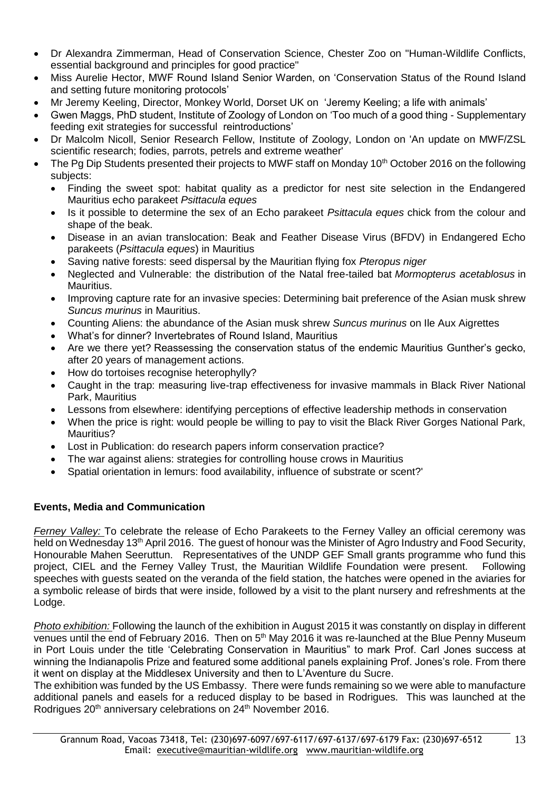- Dr Alexandra Zimmerman, Head of Conservation Science, Chester Zoo on "Human-Wildlife Conflicts, essential background and principles for good practice"
- Miss Aurelie Hector, MWF Round Island Senior Warden, on 'Conservation Status of the Round Island and setting future monitoring protocols'
- Mr Jeremy Keeling, Director, Monkey World, Dorset UK on 'Jeremy Keeling; a life with animals'
- Gwen Maggs, PhD student, Institute of Zoology of London on 'Too much of a good thing Supplementary feeding exit strategies for successful reintroductions'
- Dr Malcolm Nicoll, Senior Research Fellow, Institute of Zoology, London on 'An update on MWF/ZSL scientific research; fodies, parrots, petrels and extreme weather'
- The Pg Dip Students presented their projects to MWF staff on Monday 10<sup>th</sup> October 2016 on the following subjects:
	- Finding the sweet spot: habitat quality as a predictor for nest site selection in the Endangered Mauritius echo parakeet *Psittacula eques*
	- Is it possible to determine the sex of an Echo parakeet *Psittacula eques* chick from the colour and shape of the beak.
	- Disease in an avian translocation: Beak and Feather Disease Virus (BFDV) in Endangered Echo parakeets (*Psittacula eques*) in Mauritius
	- Saving native forests: seed dispersal by the Mauritian flying fox *Pteropus niger*
	- Neglected and Vulnerable: the distribution of the Natal free-tailed bat *Mormopterus acetablosus* in Mauritius.
	- Improving capture rate for an invasive species: Determining bait preference of the Asian musk shrew *Suncus murinus* in Mauritius.
	- Counting Aliens: the abundance of the Asian musk shrew *Suncus murinus* on Ile Aux Aigrettes
	- What's for dinner? Invertebrates of Round Island, Mauritius
	- Are we there yet? Reassessing the conservation status of the endemic Mauritius Gunther's gecko, after 20 years of management actions.
	- How do tortoises recognise heterophylly?
	- Caught in the trap: measuring live-trap effectiveness for invasive mammals in Black River National Park, Mauritius
	- Lessons from elsewhere: identifying perceptions of effective leadership methods in conservation
	- When the price is right: would people be willing to pay to visit the Black River Gorges National Park, Mauritius?
	- Lost in Publication: do research papers inform conservation practice?
	- The war against aliens: strategies for controlling house crows in Mauritius
	- Spatial orientation in lemurs: food availability, influence of substrate or scent?'

# **Events, Media and Communication**

*Ferney Valley:* To celebrate the release of Echo Parakeets to the Ferney Valley an official ceremony was held on Wednesday 13<sup>th</sup> April 2016. The guest of honour was the Minister of Agro Industry and Food Security, Honourable Mahen Seeruttun. Representatives of the UNDP GEF Small grants programme who fund this project, CIEL and the Ferney Valley Trust, the Mauritian Wildlife Foundation were present. Following speeches with guests seated on the veranda of the field station, the hatches were opened in the aviaries for a symbolic release of birds that were inside, followed by a visit to the plant nursery and refreshments at the Lodge.

*Photo exhibition:* Following the launch of the exhibition in August 2015 it was constantly on display in different venues until the end of February 2016. Then on 5<sup>th</sup> May 2016 it was re-launched at the Blue Penny Museum in Port Louis under the title 'Celebrating Conservation in Mauritius" to mark Prof. Carl Jones success at winning the Indianapolis Prize and featured some additional panels explaining Prof. Jones's role. From there it went on display at the Middlesex University and then to L'Aventure du Sucre.

The exhibition was funded by the US Embassy. There were funds remaining so we were able to manufacture additional panels and easels for a reduced display to be based in Rodrigues. This was launched at the Rodrigues 20<sup>th</sup> anniversary celebrations on 24<sup>th</sup> November 2016.